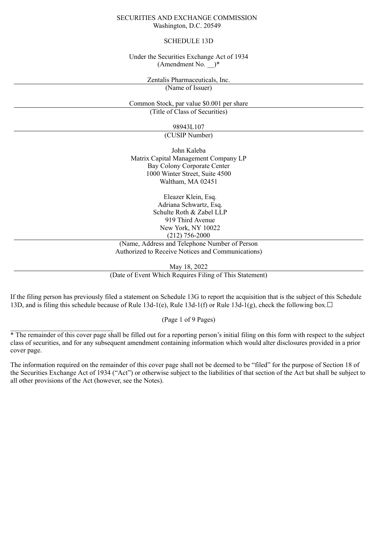### SECURITIES AND EXCHANGE COMMISSION Washington, D.C. 20549

### SCHEDULE 13D

Under the Securities Exchange Act of 1934 (Amendment No.  $)*$ 

> Zentalis Pharmaceuticals, Inc. (Name of Issuer)

Common Stock, par value \$0.001 per share (Title of Class of Securities)

98943L107

(CUSIP Number)

John Kaleba Matrix Capital Management Company LP Bay Colony Corporate Center 1000 Winter Street, Suite 4500 Waltham, MA 02451

> Eleazer Klein, Esq. Adriana Schwartz, Esq. Schulte Roth & Zabel LLP 919 Third Avenue New York, NY 10022 (212) 756-2000

(Name, Address and Telephone Number of Person Authorized to Receive Notices and Communications)

May 18, 2022

(Date of Event Which Requires Filing of This Statement)

If the filing person has previously filed a statement on Schedule 13G to report the acquisition that is the subject of this Schedule 13D, and is filing this schedule because of Rule 13d-1(e), Rule 13d-1(f) or Rule 13d-1(g), check the following box. $\Box$ 

(Page 1 of 9 Pages)

 $\mathcal{L}=\mathcal{L}^{\mathcal{L}}$  , where  $\mathcal{L}^{\mathcal{L}}$  , we have the set of the set of the set of the set of the set of the set of the set of the set of the set of the set of the set of the set of the set of the set of the set of

<sup>\*</sup> The remainder of this cover page shall be filled out for a reporting person's initial filing on this form with respect to the subject class of securities, and for any subsequent amendment containing information which would alter disclosures provided in a prior cover page.

The information required on the remainder of this cover page shall not be deemed to be "filed" for the purpose of Section 18 of the Securities Exchange Act of 1934 ("Act") or otherwise subject to the liabilities of that section of the Act but shall be subject to all other provisions of the Act (however, see the Notes).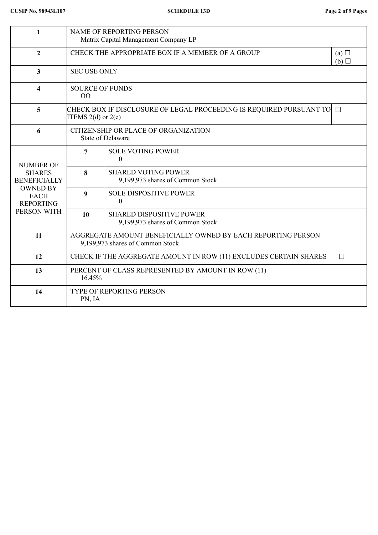| 1                                                                                                                             | NAME OF REPORTING PERSON<br>Matrix Capital Management Company LP                                 |                                                                     |  |  |  |
|-------------------------------------------------------------------------------------------------------------------------------|--------------------------------------------------------------------------------------------------|---------------------------------------------------------------------|--|--|--|
| $\overline{2}$                                                                                                                | CHECK THE APPROPRIATE BOX IF A MEMBER OF A GROUP<br>(a)<br>(b)                                   |                                                                     |  |  |  |
| 3                                                                                                                             | <b>SEC USE ONLY</b>                                                                              |                                                                     |  |  |  |
| $\overline{\mathbf{4}}$                                                                                                       | <b>SOURCE OF FUNDS</b><br>00                                                                     |                                                                     |  |  |  |
| 5                                                                                                                             | ITEMS $2(d)$ or $2(e)$                                                                           |                                                                     |  |  |  |
| 6                                                                                                                             | CITIZENSHIP OR PLACE OF ORGANIZATION<br><b>State of Delaware</b>                                 |                                                                     |  |  |  |
| <b>NUMBER OF</b><br><b>SHARES</b><br><b>BENEFICIALLY</b><br><b>OWNED BY</b><br><b>EACH</b><br><b>REPORTING</b><br>PERSON WITH | <b>SOLE VOTING POWER</b><br>7<br>$\theta$                                                        |                                                                     |  |  |  |
|                                                                                                                               | 8                                                                                                | <b>SHARED VOTING POWER</b><br>9,199,973 shares of Common Stock      |  |  |  |
|                                                                                                                               | 9                                                                                                | <b>SOLE DISPOSITIVE POWER</b><br>$\overline{0}$                     |  |  |  |
|                                                                                                                               | 10                                                                                               | <b>SHARED DISPOSITIVE POWER</b><br>9,199,973 shares of Common Stock |  |  |  |
| 11                                                                                                                            | AGGREGATE AMOUNT BENEFICIALLY OWNED BY EACH REPORTING PERSON<br>9,199,973 shares of Common Stock |                                                                     |  |  |  |
| 12                                                                                                                            | CHECK IF THE AGGREGATE AMOUNT IN ROW (11) EXCLUDES CERTAIN SHARES<br>$\Box$                      |                                                                     |  |  |  |
| 13                                                                                                                            | PERCENT OF CLASS REPRESENTED BY AMOUNT IN ROW (11)<br>16.45%                                     |                                                                     |  |  |  |
| 14                                                                                                                            | <b>TYPE OF REPORTING PERSON</b><br>PN, IA                                                        |                                                                     |  |  |  |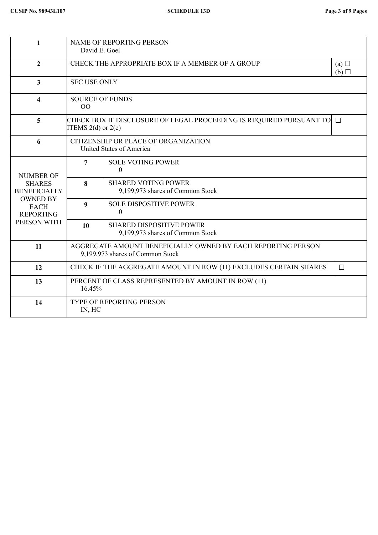| 1                                                                                                                             | <b>NAME OF REPORTING PERSON</b><br>David E. Goel                                                 |                                                                     |  |  |  |
|-------------------------------------------------------------------------------------------------------------------------------|--------------------------------------------------------------------------------------------------|---------------------------------------------------------------------|--|--|--|
| $\overline{2}$                                                                                                                | CHECK THE APPROPRIATE BOX IF A MEMBER OF A GROUP<br>(a)<br>(b)                                   |                                                                     |  |  |  |
| 3                                                                                                                             | <b>SEC USE ONLY</b>                                                                              |                                                                     |  |  |  |
| 4                                                                                                                             | <b>SOURCE OF FUNDS</b><br>OO                                                                     |                                                                     |  |  |  |
| 5                                                                                                                             | CHECK BOX IF DISCLOSURE OF LEGAL PROCEEDING IS REQUIRED PURSUANT TO∣ □<br>ITEMS $2(d)$ or $2(e)$ |                                                                     |  |  |  |
| 6                                                                                                                             | CITIZENSHIP OR PLACE OF ORGANIZATION<br>United States of America                                 |                                                                     |  |  |  |
| <b>NUMBER OF</b><br><b>SHARES</b><br><b>BENEFICIALLY</b><br><b>OWNED BY</b><br><b>EACH</b><br><b>REPORTING</b><br>PERSON WITH | <b>SOLE VOTING POWER</b><br>7<br>$\theta$                                                        |                                                                     |  |  |  |
|                                                                                                                               | 8                                                                                                | <b>SHARED VOTING POWER</b><br>9,199,973 shares of Common Stock      |  |  |  |
|                                                                                                                               | 9                                                                                                | <b>SOLE DISPOSITIVE POWER</b><br>$\theta$                           |  |  |  |
|                                                                                                                               | 10                                                                                               | <b>SHARED DISPOSITIVE POWER</b><br>9,199,973 shares of Common Stock |  |  |  |
| 11                                                                                                                            | AGGREGATE AMOUNT BENEFICIALLY OWNED BY EACH REPORTING PERSON<br>9,199,973 shares of Common Stock |                                                                     |  |  |  |
| 12                                                                                                                            | CHECK IF THE AGGREGATE AMOUNT IN ROW (11) EXCLUDES CERTAIN SHARES<br>$\Box$                      |                                                                     |  |  |  |
| 13                                                                                                                            | PERCENT OF CLASS REPRESENTED BY AMOUNT IN ROW (11)<br>16.45%                                     |                                                                     |  |  |  |
| 14                                                                                                                            | <b>TYPE OF REPORTING PERSON</b><br>IN, HC                                                        |                                                                     |  |  |  |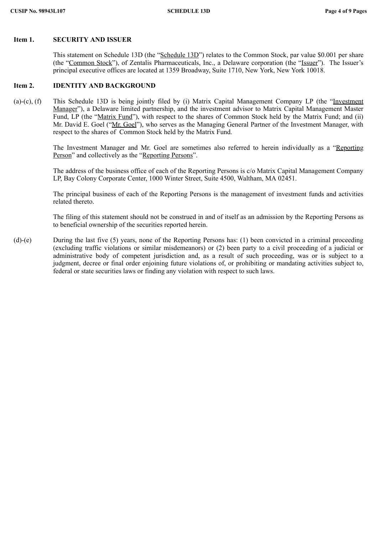# **Item 1. SECURITY AND ISSUER**

This statement on Schedule 13D (the "Schedule 13D") relates to the Common Stock, par value \$0.001 per share (the "Common Stock"), of Zentalis Pharmaceuticals, Inc., a Delaware corporation (the "Issuer"). The Issuer's principal executive offices are located at 1359 Broadway, Suite 1710, New York, New York 10018.

#### **Item 2. IDENTITY AND BACKGROUND**

(a)-(c), (f) This Schedule 13D is being jointly filed by (i) Matrix Capital Management Company LP (the "Investment Manager"), a Delaware limited partnership, and the investment advisor to Matrix Capital Management Master Fund, LP (the "Matrix Fund"), with respect to the shares of Common Stock held by the Matrix Fund; and (ii) Mr. David E. Goel ("Mr. Goel"), who serves as the Managing General Partner of the Investment Manager, with respect to the shares of Common Stock held by the Matrix Fund.

> The Investment Manager and Mr. Goel are sometimes also referred to herein individually as a "Reporting Person" and collectively as the "Reporting Persons".

> The address of the business office of each of the Reporting Persons is c/o Matrix Capital Management Company LP, Bay Colony Corporate Center, 1000 Winter Street, Suite 4500, Waltham, MA 02451.

> The principal business of each of the Reporting Persons is the management of investment funds and activities related thereto.

> The filing of this statement should not be construed in and of itself as an admission by the Reporting Persons as to beneficial ownership of the securities reported herein.

(d)-(e) During the last five (5) years, none of the Reporting Persons has: (1) been convicted in a criminal proceeding (excluding traffic violations or similar misdemeanors) or (2) been party to a civil proceeding of a judicial or administrative body of competent jurisdiction and, as a result of such proceeding, was or is subject to a judgment, decree or final order enjoining future violations of, or prohibiting or mandating activities subject to, federal or state securities laws or finding any violation with respect to such laws.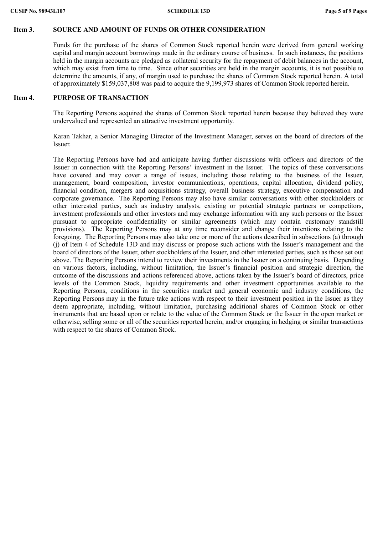### **Item 3. SOURCE AND AMOUNT OF FUNDS OR OTHER CONSIDERATION**

Funds for the purchase of the shares of Common Stock reported herein were derived from general working capital and margin account borrowings made in the ordinary course of business. In such instances, the positions held in the margin accounts are pledged as collateral security for the repayment of debit balances in the account, which may exist from time to time. Since other securities are held in the margin accounts, it is not possible to determine the amounts, if any, of margin used to purchase the shares of Common Stock reported herein. A total of approximately \$159,037,808 was paid to acquire the 9,199,973 shares of Common Stock reported herein.

### **Item 4. PURPOSE OF TRANSACTION**

The Reporting Persons acquired the shares of Common Stock reported herein because they believed they were undervalued and represented an attractive investment opportunity.

Karan Takhar, a Senior Managing Director of the Investment Manager, serves on the board of directors of the Issuer.

The Reporting Persons have had and anticipate having further discussions with officers and directors of the Issuer in connection with the Reporting Persons' investment in the Issuer. The topics of these conversations have covered and may cover a range of issues, including those relating to the business of the Issuer, management, board composition, investor communications, operations, capital allocation, dividend policy, financial condition, mergers and acquisitions strategy, overall business strategy, executive compensation and corporate governance. The Reporting Persons may also have similar conversations with other stockholders or other interested parties, such as industry analysts, existing or potential strategic partners or competitors, investment professionals and other investors and may exchange information with any such persons or the Issuer pursuant to appropriate confidentiality or similar agreements (which may contain customary standstill provisions). The Reporting Persons may at any time reconsider and change their intentions relating to the foregoing. The Reporting Persons may also take one or more of the actions described in subsections (a) through (j) of Item 4 of Schedule 13D and may discuss or propose such actions with the Issuer's management and the board of directors of the Issuer, other stockholders of the Issuer, and other interested parties, such as those set out above. The Reporting Persons intend to review their investments in the Issuer on a continuing basis. Depending on various factors, including, without limitation, the Issuer's financial position and strategic direction, the outcome of the discussions and actions referenced above, actions taken by the Issuer's board of directors, price levels of the Common Stock, liquidity requirements and other investment opportunities available to the Reporting Persons, conditions in the securities market and general economic and industry conditions, the Reporting Persons may in the future take actions with respect to their investment position in the Issuer as they deem appropriate, including, without limitation, purchasing additional shares of Common Stock or other instruments that are based upon or relate to the value of the Common Stock or the Issuer in the open market or otherwise, selling some or all of the securities reported herein, and/or engaging in hedging or similar transactions with respect to the shares of Common Stock.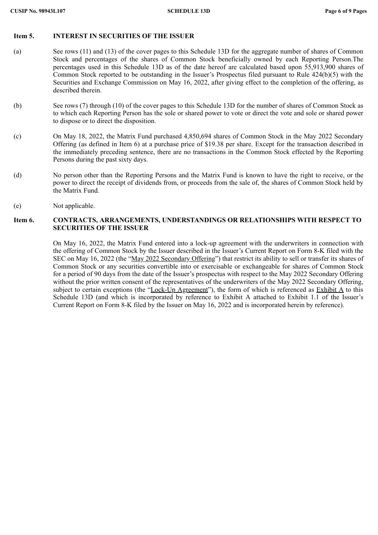### **Item 5. INTEREST IN SECURITIES OF THE ISSUER**

- (a) See rows (11) and (13) of the cover pages to this Schedule 13D for the aggregate number of shares of Common Stock and percentages of the shares of Common Stock beneficially owned by each Reporting Person.The percentages used in this Schedule 13D as of the date hereof are calculated based upon 55,913,900 shares of Common Stock reported to be outstanding in the Issuer's Prospectus filed pursuant to Rule 424(b)(5) with the Securities and Exchange Commission on May 16, 2022, after giving effect to the completion of the offering, as described therein.
- (b) See rows (7) through (10) of the cover pages to this Schedule 13D for the number of shares of Common Stock as to which each Reporting Person has the sole or shared power to vote or direct the vote and sole or shared power to dispose or to direct the disposition.
- (c) On May 18, 2022, the Matrix Fund purchased 4,850,694 shares of Common Stock in the May 2022 Secondary Offering (as defined in Item 6) at a purchase price of \$19.38 per share. Except for the transaction described in the immediately preceding sentence, there are no transactions in the Common Stock effected by the Reporting Persons during the past sixty days.
- (d) No person other than the Reporting Persons and the Matrix Fund is known to have the right to receive, or the power to direct the receipt of dividends from, or proceeds from the sale of, the shares of Common Stock held by the Matrix Fund.
- (e) Not applicable.

# **Item 6. CONTRACTS, ARRANGEMENTS, UNDERSTANDINGS OR RELATIONSHIPS WITH RESPECT TO SECURITIES OF THE ISSUER**

On May 16, 2022, the Matrix Fund entered into a lock-up agreement with the underwriters in connection with the offering of Common Stock by the Issuer described in the Issuer's Current Report on Form 8-K filed with the SEC on May 16, 2022 (the "May 2022 Secondary Offering") that restrict its ability to sell or transfer its shares of Common Stock or any securities convertible into or exercisable or exchangeable for shares of Common Stock for a period of 90 days from the date of the Issuer's prospectus with respect to the May 2022 Secondary Offering without the prior written consent of the representatives of the underwriters of the May 2022 Secondary Offering, subject to certain exceptions (the "Lock-Up Agreement"), the form of which is referenced as Exhibit A to this Schedule 13D (and which is incorporated by reference to Exhibit A attached to Exhibit 1.1 of the Issuer's Current Report on Form 8-K filed by the Issuer on May 16, 2022 and is incorporated herein by reference).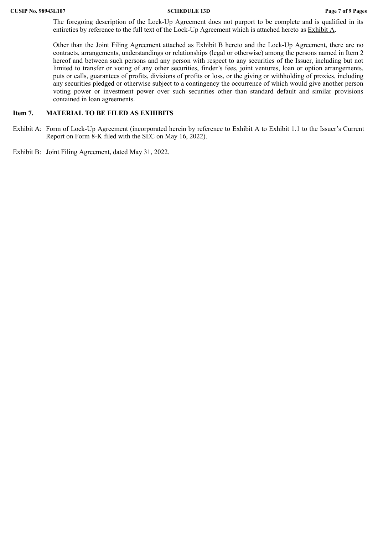The foregoing description of the Lock-Up Agreement does not purport to be complete and is qualified in its entireties by reference to the full text of the Lock-Up Agreement which is attached hereto as Exhibit A.

Other than the Joint Filing Agreement attached as **Exhibit B** hereto and the Lock-Up Agreement, there are no contracts, arrangements, understandings or relationships (legal or otherwise) among the persons named in Item 2 hereof and between such persons and any person with respect to any securities of the Issuer, including but not limited to transfer or voting of any other securities, finder's fees, joint ventures, loan or option arrangements, puts or calls, guarantees of profits, divisions of profits or loss, or the giving or withholding of proxies, including any securities pledged or otherwise subject to a contingency the occurrence of which would give another person voting power or investment power over such securities other than standard default and similar provisions contained in loan agreements.

## **Item 7. MATERIAL TO BE FILED AS EXHIBITS**

- Exhibit A: Form of Lock-Up Agreement (incorporated herein by reference to Exhibit A to Exhibit 1.1 to the Issuer's Current Report on Form 8-K filed with the SEC on May 16, 2022).
- Exhibit B: Joint Filing Agreement, dated May 31, 2022.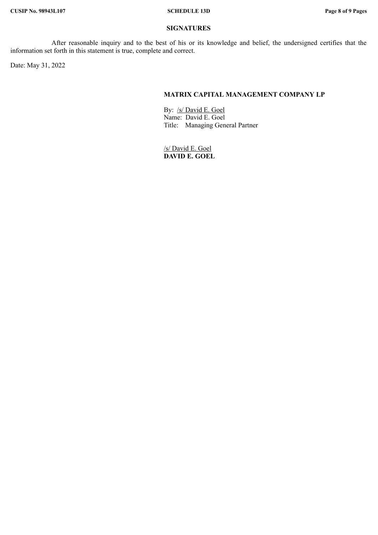### **SIGNATURES**

After reasonable inquiry and to the best of his or its knowledge and belief, the undersigned certifies that the information set forth in this statement is true, complete and correct.

Date: May 31, 2022

# **MATRIX CAPITAL MANAGEMENT COMPANY LP**

By: /s/ David E. Goel Name: David E. Goel Title: Managing General Partner

/s/ David E. Goel **DAVID E. GOEL**